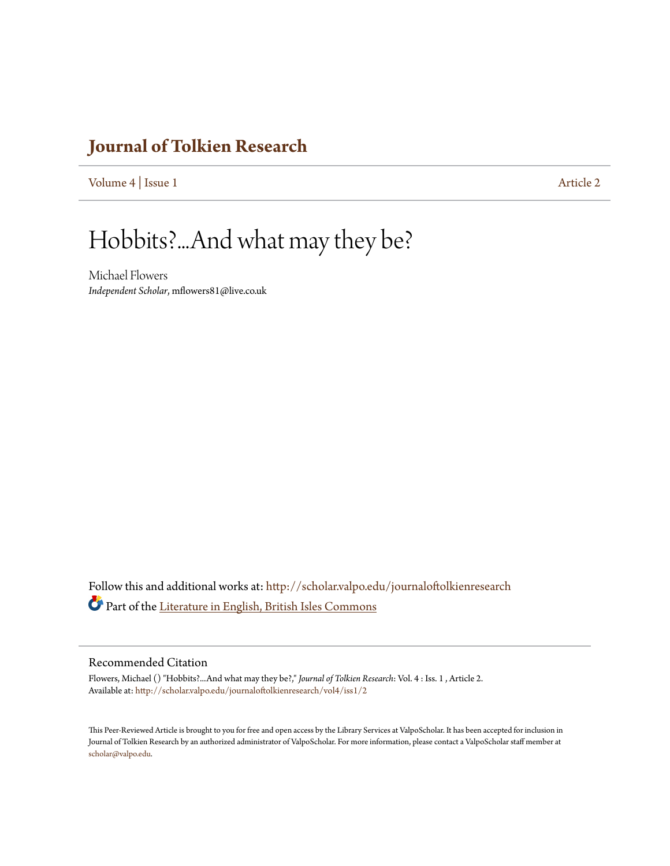### **[Journal of Tolkien Research](http://scholar.valpo.edu/journaloftolkienresearch?utm_source=scholar.valpo.edu%2Fjournaloftolkienresearch%2Fvol4%2Fiss1%2F2&utm_medium=PDF&utm_campaign=PDFCoverPages)**

[Volume 4](http://scholar.valpo.edu/journaloftolkienresearch/vol4?utm_source=scholar.valpo.edu%2Fjournaloftolkienresearch%2Fvol4%2Fiss1%2F2&utm_medium=PDF&utm_campaign=PDFCoverPages) | [Issue 1](http://scholar.valpo.edu/journaloftolkienresearch/vol4/iss1?utm_source=scholar.valpo.edu%2Fjournaloftolkienresearch%2Fvol4%2Fiss1%2F2&utm_medium=PDF&utm_campaign=PDFCoverPages) [Article 2](http://scholar.valpo.edu/journaloftolkienresearch/vol4/iss1/2?utm_source=scholar.valpo.edu%2Fjournaloftolkienresearch%2Fvol4%2Fiss1%2F2&utm_medium=PDF&utm_campaign=PDFCoverPages)

# Hobbits?...And what may they be?

Michael Flowers *Independent Scholar*, mflowers81@live.co.uk

Follow this and additional works at: [http://scholar.valpo.edu/journaloftolkienresearch](http://scholar.valpo.edu/journaloftolkienresearch?utm_source=scholar.valpo.edu%2Fjournaloftolkienresearch%2Fvol4%2Fiss1%2F2&utm_medium=PDF&utm_campaign=PDFCoverPages) Part of the [Literature in English, British Isles Commons](http://network.bepress.com/hgg/discipline/456?utm_source=scholar.valpo.edu%2Fjournaloftolkienresearch%2Fvol4%2Fiss1%2F2&utm_medium=PDF&utm_campaign=PDFCoverPages)

### Recommended Citation

Flowers, Michael () "Hobbits?...And what may they be?," *Journal of Tolkien Research*: Vol. 4 : Iss. 1 , Article 2. Available at: [http://scholar.valpo.edu/journaloftolkienresearch/vol4/iss1/2](http://scholar.valpo.edu/journaloftolkienresearch/vol4/iss1/2?utm_source=scholar.valpo.edu%2Fjournaloftolkienresearch%2Fvol4%2Fiss1%2F2&utm_medium=PDF&utm_campaign=PDFCoverPages)

This Peer-Reviewed Article is brought to you for free and open access by the Library Services at ValpoScholar. It has been accepted for inclusion in Journal of Tolkien Research by an authorized administrator of ValpoScholar. For more information, please contact a ValpoScholar staff member at [scholar@valpo.edu.](mailto:scholar@valpo.edu)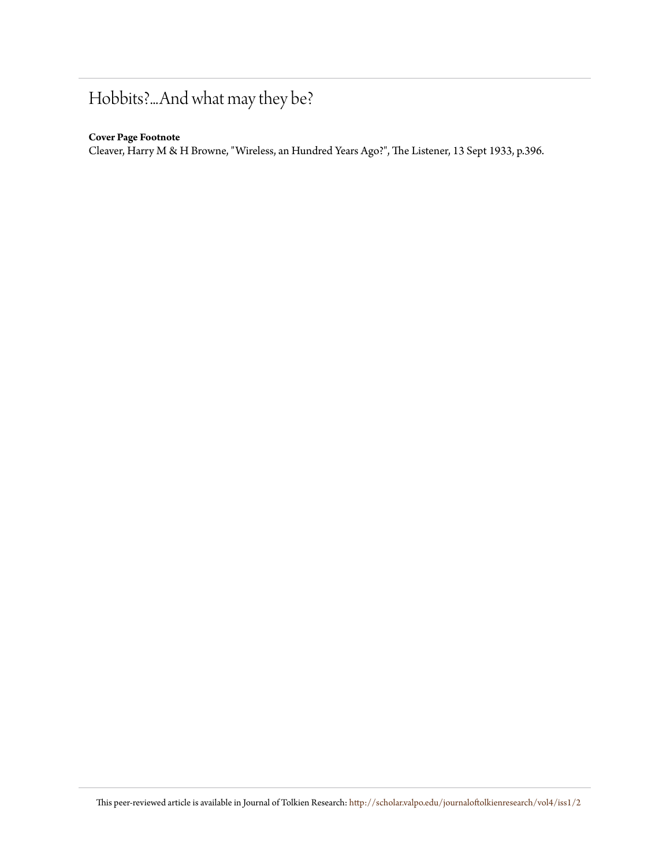## Hobbits?...And what may they be?

### **Cover Page Footnote**

Cleaver, Harry M & H Browne, "Wireless, an Hundred Years Ago?", The Listener, 13 Sept 1933, p.396.

This peer-reviewed article is available in Journal of Tolkien Research: [http://scholar.valpo.edu/journaloftolkienresearch/vol4/iss1/2](http://scholar.valpo.edu/journaloftolkienresearch/vol4/iss1/2?utm_source=scholar.valpo.edu%2Fjournaloftolkienresearch%2Fvol4%2Fiss1%2F2&utm_medium=PDF&utm_campaign=PDFCoverPages)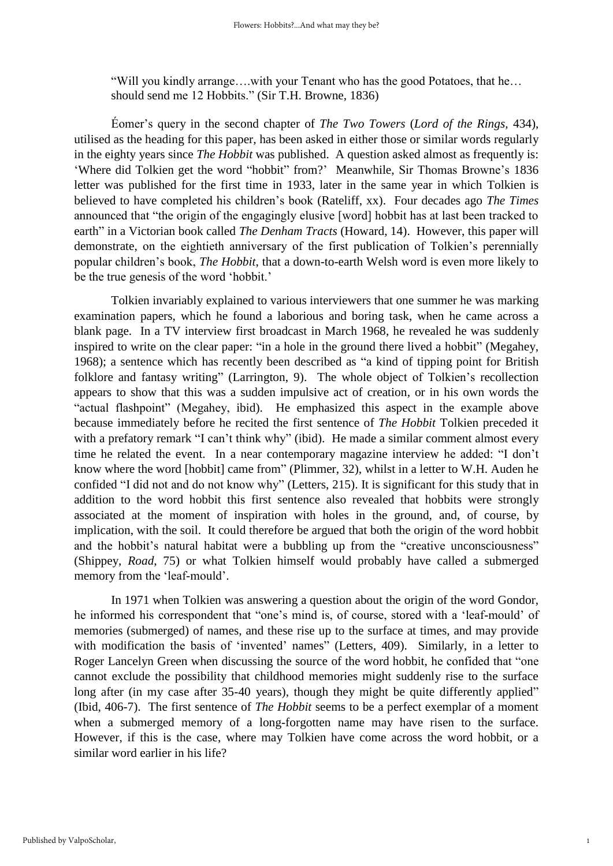"Will you kindly arrange….with your Tenant who has the good Potatoes, that he… should send me 12 Hobbits." (Sir T.H. Browne, 1836)

Éomer's query in the second chapter of *The Two Towers* (*Lord of the Rings,* 434), utilised as the heading for this paper, has been asked in either those or similar words regularly in the eighty years since *The Hobbit* was published. A question asked almost as frequently is: 'Where did Tolkien get the word "hobbit" from?' Meanwhile, Sir Thomas Browne's 1836 letter was published for the first time in 1933, later in the same year in which Tolkien is believed to have completed his children's book (Rateliff, xx). Four decades ago *The Times* announced that "the origin of the engagingly elusive [word] hobbit has at last been tracked to earth" in a Victorian book called *The Denham Tracts* (Howard, 14). However, this paper will demonstrate, on the eightieth anniversary of the first publication of Tolkien's perennially popular children's book, *The Hobbit*, that a down-to-earth Welsh word is even more likely to be the true genesis of the word 'hobbit.'

Tolkien invariably explained to various interviewers that one summer he was marking examination papers, which he found a laborious and boring task, when he came across a blank page. In a TV interview first broadcast in March 1968, he revealed he was suddenly inspired to write on the clear paper: "in a hole in the ground there lived a hobbit" (Megahey, 1968); a sentence which has recently been described as "a kind of tipping point for British folklore and fantasy writing" (Larrington, 9). The whole object of Tolkien's recollection appears to show that this was a sudden impulsive act of creation, or in his own words the "actual flashpoint" (Megahey, ibid). He emphasized this aspect in the example above because immediately before he recited the first sentence of *The Hobbit* Tolkien preceded it with a prefatory remark "I can't think why" (ibid). He made a similar comment almost every time he related the event. In a near contemporary magazine interview he added: "I don't know where the word [hobbit] came from" (Plimmer, 32), whilst in a letter to W.H. Auden he confided "I did not and do not know why" (Letters, 215). It is significant for this study that in addition to the word hobbit this first sentence also revealed that hobbits were strongly associated at the moment of inspiration with holes in the ground, and, of course, by implication, with the soil. It could therefore be argued that both the origin of the word hobbit and the hobbit's natural habitat were a bubbling up from the "creative unconsciousness" (Shippey, *Road*, 75) or what Tolkien himself would probably have called a submerged memory from the 'leaf-mould'.

In 1971 when Tolkien was answering a question about the origin of the word Gondor, he informed his correspondent that "one's mind is, of course, stored with a 'leaf-mould' of memories (submerged) of names, and these rise up to the surface at times, and may provide with modification the basis of 'invented' names" (Letters, 409). Similarly, in a letter to Roger Lancelyn Green when discussing the source of the word hobbit, he confided that "one cannot exclude the possibility that childhood memories might suddenly rise to the surface long after (in my case after 35-40 years), though they might be quite differently applied" (Ibid, 406-7). The first sentence of *The Hobbit* seems to be a perfect exemplar of a moment when a submerged memory of a long-forgotten name may have risen to the surface. However, if this is the case, where may Tolkien have come across the word hobbit, or a similar word earlier in his life?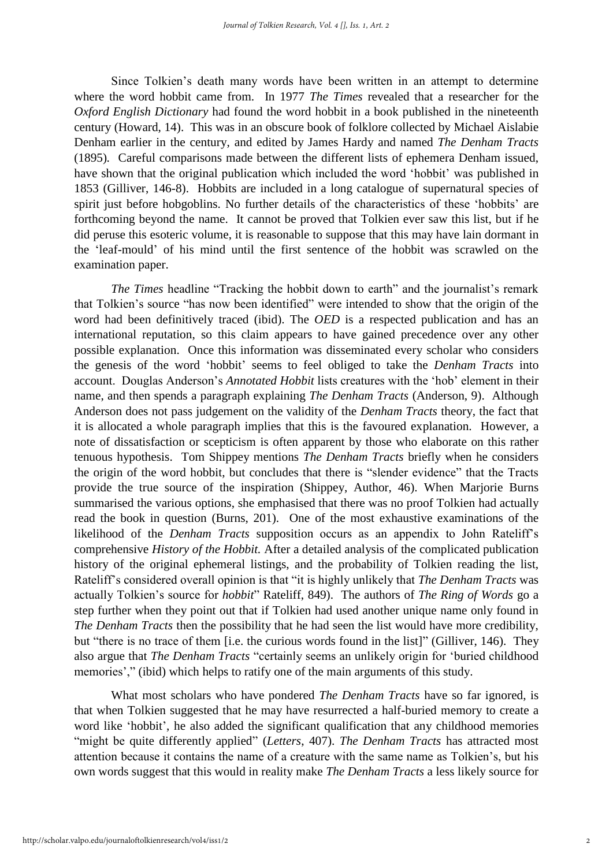Since Tolkien's death many words have been written in an attempt to determine where the word hobbit came from. In 1977 *The Times* revealed that a researcher for the *Oxford English Dictionary* had found the word hobbit in a book published in the nineteenth century (Howard, 14). This was in an obscure book of folklore collected by Michael Aislabie Denham earlier in the century, and edited by James Hardy and named *The Denham Tracts* (1895)*.* Careful comparisons made between the different lists of ephemera Denham issued, have shown that the original publication which included the word 'hobbit' was published in 1853 (Gilliver, 146-8). Hobbits are included in a long catalogue of supernatural species of spirit just before hobgoblins. No further details of the characteristics of these 'hobbits' are forthcoming beyond the name. It cannot be proved that Tolkien ever saw this list, but if he did peruse this esoteric volume, it is reasonable to suppose that this may have lain dormant in the 'leaf-mould' of his mind until the first sentence of the hobbit was scrawled on the examination paper.

*The Times* headline "Tracking the hobbit down to earth" and the journalist's remark that Tolkien's source "has now been identified" were intended to show that the origin of the word had been definitively traced (ibid). The *OED* is a respected publication and has an international reputation, so this claim appears to have gained precedence over any other possible explanation. Once this information was disseminated every scholar who considers the genesis of the word 'hobbit' seems to feel obliged to take the *Denham Tracts* into account. Douglas Anderson's *Annotated Hobbit* lists creatures with the 'hob' element in their name, and then spends a paragraph explaining *The Denham Tracts* (Anderson, 9). Although Anderson does not pass judgement on the validity of the *Denham Tracts* theory, the fact that it is allocated a whole paragraph implies that this is the favoured explanation. However, a note of dissatisfaction or scepticism is often apparent by those who elaborate on this rather tenuous hypothesis. Tom Shippey mentions *The Denham Tracts* briefly when he considers the origin of the word hobbit, but concludes that there is "slender evidence" that the Tracts provide the true source of the inspiration (Shippey, Author, 46). When Marjorie Burns summarised the various options, she emphasised that there was no proof Tolkien had actually read the book in question (Burns, 201). One of the most exhaustive examinations of the likelihood of the *Denham Tracts* supposition occurs as an appendix to John Rateliff's comprehensive *History of the Hobbit.* After a detailed analysis of the complicated publication history of the original ephemeral listings, and the probability of Tolkien reading the list, Rateliff's considered overall opinion is that "it is highly unlikely that *The Denham Tracts* was actually Tolkien's source for *hobbit*" Rateliff, 849). The authors of *The Ring of Words* go a step further when they point out that if Tolkien had used another unique name only found in *The Denham Tracts* then the possibility that he had seen the list would have more credibility, but "there is no trace of them [i.e. the curious words found in the list]" (Gilliver, 146). They also argue that *The Denham Tracts* "certainly seems an unlikely origin for 'buried childhood memories'," (ibid) which helps to ratify one of the main arguments of this study.

What most scholars who have pondered *The Denham Tracts* have so far ignored, is that when Tolkien suggested that he may have resurrected a half-buried memory to create a word like 'hobbit', he also added the significant qualification that any childhood memories "might be quite differently applied" (*Letters*, 407). *The Denham Tracts* has attracted most attention because it contains the name of a creature with the same name as Tolkien's, but his own words suggest that this would in reality make *The Denham Tracts* a less likely source for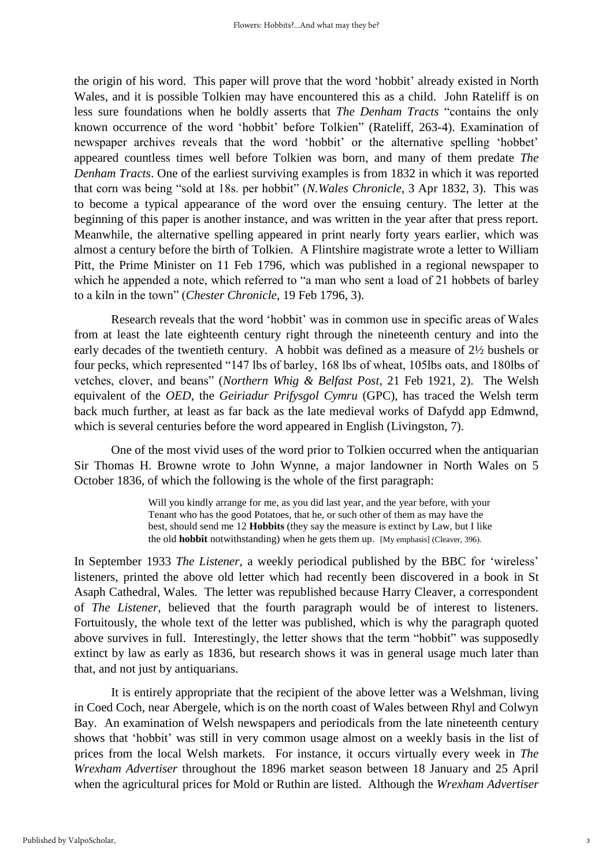the origin of his word. This paper will prove that the word 'hobbit' already existed in North Wales, and it is possible Tolkien may have encountered this as a child. John Rateliff is on less sure foundations when he boldly asserts that *The Denham Tracts* "contains the only known occurrence of the word 'hobbit' before Tolkien" (Rateliff, 263-4). Examination of newspaper archives reveals that the word 'hobbit' or the alternative spelling 'hobbet' appeared countless times well before Tolkien was born, and many of them predate *The Denham Tracts*. One of the earliest surviving examples is from 1832 in which it was reported that corn was being "sold at 18s. per hobbit" (*N.Wales Chronicle*, 3 Apr 1832, 3). This was to become a typical appearance of the word over the ensuing century. The letter at the beginning of this paper is another instance, and was written in the year after that press report. Meanwhile, the alternative spelling appeared in print nearly forty years earlier, which was almost a century before the birth of Tolkien. A Flintshire magistrate wrote a letter to William Pitt, the Prime Minister on 11 Feb 1796, which was published in a regional newspaper to which he appended a note, which referred to "a man who sent a load of 21 hobbets of barley to a kiln in the town" (*Chester Chronicle*, 19 Feb 1796, 3).

Research reveals that the word 'hobbit' was in common use in specific areas of Wales from at least the late eighteenth century right through the nineteenth century and into the early decades of the twentieth century. A hobbit was defined as a measure of 2½ bushels or four pecks, which represented "147 lbs of barley, 168 lbs of wheat, 105lbs oats, and 180lbs of vetches, clover, and beans" (*Northern Whig & Belfast Post*, 21 Feb 1921, 2). The Welsh equivalent of the *OED*, the *Geiriadur Prifysgol Cymru* (GPC), has traced the Welsh term back much further, at least as far back as the late medieval works of Dafydd app Edmwnd, which is several centuries before the word appeared in English (Livingston, 7).

One of the most vivid uses of the word prior to Tolkien occurred when the antiquarian Sir Thomas H. Browne wrote to John Wynne, a major landowner in North Wales on 5 October 1836, of which the following is the whole of the first paragraph:

> Will you kindly arrange for me, as you did last year, and the year before, with your Tenant who has the good Potatoes, that he, or such other of them as may have the best, should send me 12 **Hobbits** (they say the measure is extinct by Law, but I like the old **hobbit** notwithstanding) when he gets them up. [My emphasis] (Cleaver, 396).

In September 1933 *The Listener,* a weekly periodical published by the BBC for 'wireless' listeners, printed the above old letter which had recently been discovered in a book in St Asaph Cathedral, Wales. The letter was republished because Harry Cleaver, a correspondent of *The Listener,* believed that the fourth paragraph would be of interest to listeners. Fortuitously, the whole text of the letter was published, which is why the paragraph quoted above survives in full. Interestingly, the letter shows that the term "hobbit" was supposedly extinct by law as early as 1836, but research shows it was in general usage much later than that, and not just by antiquarians.

It is entirely appropriate that the recipient of the above letter was a Welshman, living in Coed Coch, near Abergele, which is on the north coast of Wales between Rhyl and Colwyn Bay. An examination of Welsh newspapers and periodicals from the late nineteenth century shows that 'hobbit' was still in very common usage almost on a weekly basis in the list of prices from the local Welsh markets. For instance, it occurs virtually every week in *The Wrexham Advertiser* throughout the 1896 market season between 18 January and 25 April when the agricultural prices for Mold or Ruthin are listed. Although the *Wrexham Advertiser*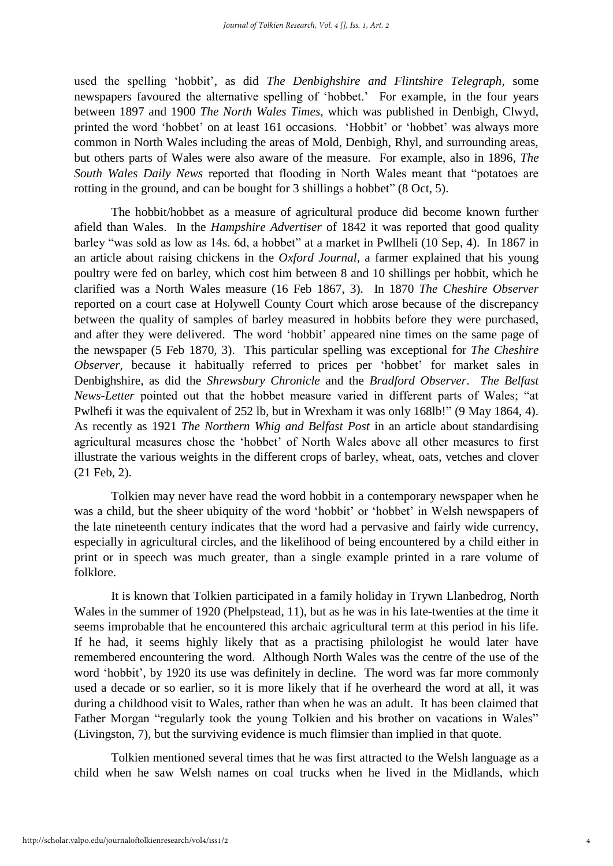used the spelling 'hobbit', as did *The Denbighshire and Flintshire Telegraph,* some newspapers favoured the alternative spelling of 'hobbet.' For example, in the four years between 1897 and 1900 *The North Wales Times*, which was published in Denbigh, Clwyd, printed the word 'hobbet' on at least 161 occasions. 'Hobbit' or 'hobbet' was always more common in North Wales including the areas of Mold, Denbigh, Rhyl, and surrounding areas, but others parts of Wales were also aware of the measure. For example, also in 1896, *The South Wales Daily News* reported that flooding in North Wales meant that "potatoes are rotting in the ground, and can be bought for 3 shillings a hobbet" (8 Oct, 5).

The hobbit/hobbet as a measure of agricultural produce did become known further afield than Wales. In the *Hampshire Advertiser* of 1842 it was reported that good quality barley "was sold as low as 14s. 6d, a hobbet" at a market in Pwllheli (10 Sep, 4). In 1867 in an article about raising chickens in the *Oxford Journal,* a farmer explained that his young poultry were fed on barley, which cost him between 8 and 10 shillings per hobbit, which he clarified was a North Wales measure (16 Feb 1867, 3). In 1870 *The Cheshire Observer* reported on a court case at Holywell County Court which arose because of the discrepancy between the quality of samples of barley measured in hobbits before they were purchased, and after they were delivered. The word 'hobbit' appeared nine times on the same page of the newspaper (5 Feb 1870, 3). This particular spelling was exceptional for *The Cheshire Observer,* because it habitually referred to prices per 'hobbet' for market sales in Denbighshire, as did the *Shrewsbury Chronicle* and the *Bradford Observer*. *The Belfast News-Letter* pointed out that the hobbet measure varied in different parts of Wales; "at Pwlhefi it was the equivalent of 252 lb, but in Wrexham it was only 168lb!" (9 May 1864, 4). As recently as 1921 *The Northern Whig and Belfast Post* in an article about standardising agricultural measures chose the 'hobbet' of North Wales above all other measures to first illustrate the various weights in the different crops of barley, wheat, oats, vetches and clover (21 Feb, 2).

Tolkien may never have read the word hobbit in a contemporary newspaper when he was a child, but the sheer ubiquity of the word 'hobbit' or 'hobbet' in Welsh newspapers of the late nineteenth century indicates that the word had a pervasive and fairly wide currency, especially in agricultural circles, and the likelihood of being encountered by a child either in print or in speech was much greater, than a single example printed in a rare volume of folklore.

It is known that Tolkien participated in a family holiday in Trywn Llanbedrog, North Wales in the summer of 1920 (Phelpstead, 11), but as he was in his late-twenties at the time it seems improbable that he encountered this archaic agricultural term at this period in his life. If he had, it seems highly likely that as a practising philologist he would later have remembered encountering the word. Although North Wales was the centre of the use of the word 'hobbit', by 1920 its use was definitely in decline. The word was far more commonly used a decade or so earlier, so it is more likely that if he overheard the word at all, it was during a childhood visit to Wales, rather than when he was an adult. It has been claimed that Father Morgan "regularly took the young Tolkien and his brother on vacations in Wales" (Livingston, 7), but the surviving evidence is much flimsier than implied in that quote.

Tolkien mentioned several times that he was first attracted to the Welsh language as a child when he saw Welsh names on coal trucks when he lived in the Midlands, which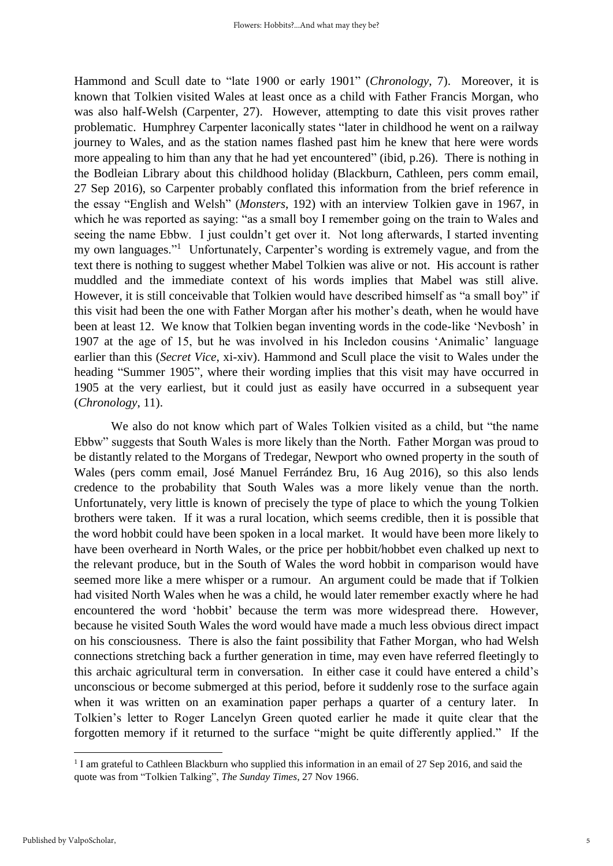Hammond and Scull date to "late 1900 or early 1901" (*Chronology*, 7). Moreover, it is known that Tolkien visited Wales at least once as a child with Father Francis Morgan, who was also half-Welsh (Carpenter, 27). However, attempting to date this visit proves rather problematic. Humphrey Carpenter laconically states "later in childhood he went on a railway journey to Wales, and as the station names flashed past him he knew that here were words more appealing to him than any that he had yet encountered" (ibid, p.26). There is nothing in the Bodleian Library about this childhood holiday (Blackburn, Cathleen, pers comm email, 27 Sep 2016), so Carpenter probably conflated this information from the brief reference in the essay "English and Welsh" (*Monsters*, 192) with an interview Tolkien gave in 1967, in which he was reported as saying: "as a small boy I remember going on the train to Wales and seeing the name Ebbw. I just couldn't get over it. Not long afterwards, I started inventing my own languages."<sup>1</sup> Unfortunately, Carpenter's wording is extremely vague, and from the text there is nothing to suggest whether Mabel Tolkien was alive or not. His account is rather muddled and the immediate context of his words implies that Mabel was still alive. However, it is still conceivable that Tolkien would have described himself as "a small boy" if this visit had been the one with Father Morgan after his mother's death, when he would have been at least 12. We know that Tolkien began inventing words in the code-like 'Nevbosh' in 1907 at the age of 15, but he was involved in his Incledon cousins 'Animalic' language earlier than this (*Secret Vice*, xi-xiv). Hammond and Scull place the visit to Wales under the heading "Summer 1905", where their wording implies that this visit may have occurred in 1905 at the very earliest, but it could just as easily have occurred in a subsequent year (*Chronology*, 11).

We also do not know which part of Wales Tolkien visited as a child, but "the name Ebbw" suggests that South Wales is more likely than the North. Father Morgan was proud to be distantly related to the Morgans of Tredegar, Newport who owned property in the south of Wales (pers comm email, José Manuel Ferrández Bru, 16 Aug 2016), so this also lends credence to the probability that South Wales was a more likely venue than the north. Unfortunately, very little is known of precisely the type of place to which the young Tolkien brothers were taken. If it was a rural location, which seems credible, then it is possible that the word hobbit could have been spoken in a local market. It would have been more likely to have been overheard in North Wales, or the price per hobbit/hobbet even chalked up next to the relevant produce, but in the South of Wales the word hobbit in comparison would have seemed more like a mere whisper or a rumour. An argument could be made that if Tolkien had visited North Wales when he was a child, he would later remember exactly where he had encountered the word 'hobbit' because the term was more widespread there. However, because he visited South Wales the word would have made a much less obvious direct impact on his consciousness. There is also the faint possibility that Father Morgan, who had Welsh connections stretching back a further generation in time, may even have referred fleetingly to this archaic agricultural term in conversation. In either case it could have entered a child's unconscious or become submerged at this period, before it suddenly rose to the surface again when it was written on an examination paper perhaps a quarter of a century later. In Tolkien's letter to Roger Lancelyn Green quoted earlier he made it quite clear that the forgotten memory if it returned to the surface "might be quite differently applied." If the

**.** 

<sup>&</sup>lt;sup>1</sup> I am grateful to Cathleen Blackburn who supplied this information in an email of 27 Sep 2016, and said the quote was from "Tolkien Talking", *The Sunday Times*, 27 Nov 1966.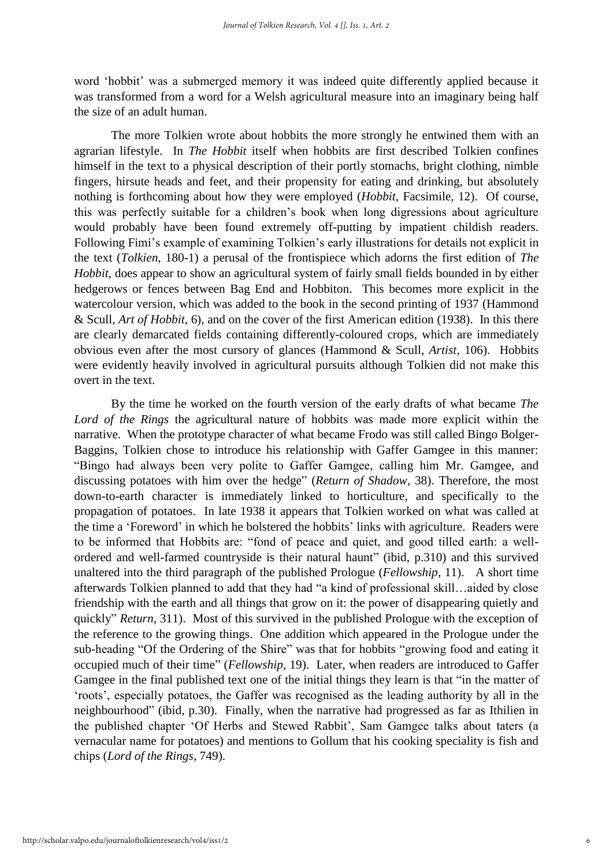word 'hobbit' was a submerged memory it was indeed quite differently applied because it was transformed from a word for a Welsh agricultural measure into an imaginary being half the size of an adult human.

The more Tolkien wrote about hobbits the more strongly he entwined them with an agrarian lifestyle. In *The Hobbit* itself when hobbits are first described Tolkien confines himself in the text to a physical description of their portly stomachs, bright clothing, nimble fingers, hirsute heads and feet, and their propensity for eating and drinking, but absolutely nothing is forthcoming about how they were employed (*Hobbit*, Facsimile, 12). Of course, this was perfectly suitable for a children's book when long digressions about agriculture would probably have been found extremely off-putting by impatient childish readers. Following Fimi's example of examining Tolkien's early illustrations for details not explicit in the text (*Tolkien*, 180-1) a perusal of the frontispiece which adorns the first edition of *The Hobbit*, does appear to show an agricultural system of fairly small fields bounded in by either hedgerows or fences between Bag End and Hobbiton. This becomes more explicit in the watercolour version, which was added to the book in the second printing of 1937 (Hammond & Scull, *Art of Hobbit*, 6), and on the cover of the first American edition (1938). In this there are clearly demarcated fields containing differently-coloured crops, which are immediately obvious even after the most cursory of glances (Hammond & Scull, *Artist*, 106). Hobbits were evidently heavily involved in agricultural pursuits although Tolkien did not make this overt in the text.

By the time he worked on the fourth version of the early drafts of what became *The Lord of the Rings* the agricultural nature of hobbits was made more explicit within the narrative. When the prototype character of what became Frodo was still called Bingo Bolger-Baggins, Tolkien chose to introduce his relationship with Gaffer Gamgee in this manner: "Bingo had always been very polite to Gaffer Gamgee, calling him Mr. Gamgee, and discussing potatoes with him over the hedge" (*Return of Shadow*, 38). Therefore, the most down-to-earth character is immediately linked to horticulture, and specifically to the propagation of potatoes. In late 1938 it appears that Tolkien worked on what was called at the time a 'Foreword' in which he bolstered the hobbits' links with agriculture. Readers were to be informed that Hobbits are: "fond of peace and quiet, and good tilled earth: a wellordered and well-farmed countryside is their natural haunt" (ibid, p.310) and this survived unaltered into the third paragraph of the published Prologue (*Fellowship*, 11). A short time afterwards Tolkien planned to add that they had "a kind of professional skill…aided by close friendship with the earth and all things that grow on it: the power of disappearing quietly and quickly" *Return*, 311). Most of this survived in the published Prologue with the exception of the reference to the growing things. One addition which appeared in the Prologue under the sub-heading "Of the Ordering of the Shire" was that for hobbits "growing food and eating it occupied much of their time" (*Fellowship*, 19). Later, when readers are introduced to Gaffer Gamgee in the final published text one of the initial things they learn is that "in the matter of 'roots', especially potatoes, the Gaffer was recognised as the leading authority by all in the neighbourhood" (ibid, p.30). Finally, when the narrative had progressed as far as Ithilien in the published chapter 'Of Herbs and Stewed Rabbit', Sam Gamgee talks about taters (a vernacular name for potatoes) and mentions to Gollum that his cooking speciality is fish and chips (*Lord of the Rings*, 749).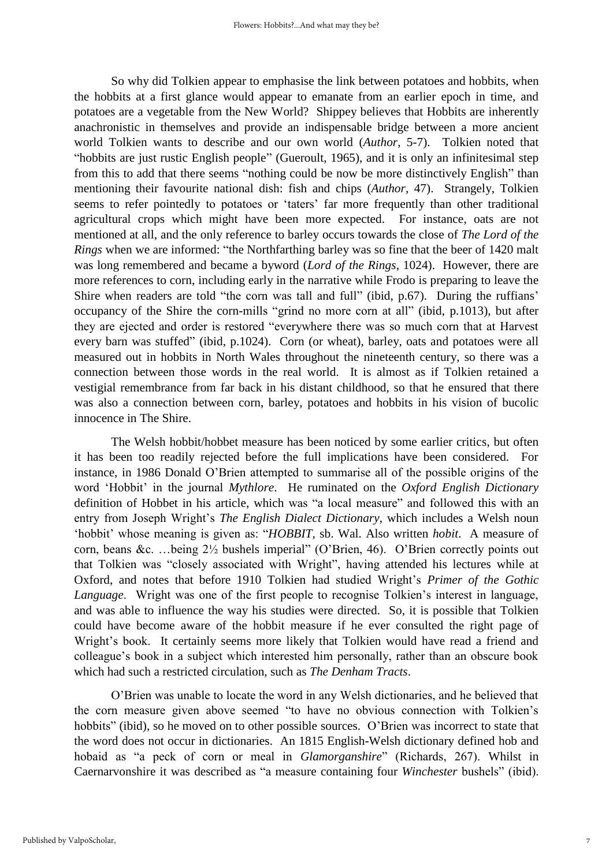So why did Tolkien appear to emphasise the link between potatoes and hobbits, when the hobbits at a first glance would appear to emanate from an earlier epoch in time, and potatoes are a vegetable from the New World? Shippey believes that Hobbits are inherently anachronistic in themselves and provide an indispensable bridge between a more ancient world Tolkien wants to describe and our own world (*Author*, 5-7). Tolkien noted that "hobbits are just rustic English people" (Gueroult, 1965), and it is only an infinitesimal step from this to add that there seems "nothing could be now be more distinctively English" than mentioning their favourite national dish: fish and chips (*Author*, 47). Strangely, Tolkien seems to refer pointedly to potatoes or 'taters' far more frequently than other traditional agricultural crops which might have been more expected. For instance, oats are not mentioned at all, and the only reference to barley occurs towards the close of *The Lord of the Rings* when we are informed: "the Northfarthing barley was so fine that the beer of 1420 malt was long remembered and became a byword (*Lord of the Rings*, 1024). However, there are more references to corn, including early in the narrative while Frodo is preparing to leave the Shire when readers are told "the corn was tall and full" (ibid, p.67). During the ruffians' occupancy of the Shire the corn-mills "grind no more corn at all" (ibid, p.1013), but after they are ejected and order is restored "everywhere there was so much corn that at Harvest every barn was stuffed" (ibid, p.1024). Corn (or wheat), barley, oats and potatoes were all measured out in hobbits in North Wales throughout the nineteenth century, so there was a connection between those words in the real world. It is almost as if Tolkien retained a vestigial remembrance from far back in his distant childhood, so that he ensured that there was also a connection between corn, barley, potatoes and hobbits in his vision of bucolic innocence in The Shire.

The Welsh hobbit/hobbet measure has been noticed by some earlier critics, but often it has been too readily rejected before the full implications have been considered. For instance, in 1986 Donald O'Brien attempted to summarise all of the possible origins of the word 'Hobbit' in the journal *Mythlore*. He ruminated on the *Oxford English Dictionary* definition of Hobbet in his article, which was "a local measure" and followed this with an entry from Joseph Wright's *The English Dialect Dictionary*, which includes a Welsh noun 'hobbit' whose meaning is given as: "*HOBBIT*, sb. Wal. Also written *hobit*. A measure of corn, beans &c. …being 2½ bushels imperial" (O'Brien, 46). O'Brien correctly points out that Tolkien was "closely associated with Wright", having attended his lectures while at Oxford, and notes that before 1910 Tolkien had studied Wright's *Primer of the Gothic Language*. Wright was one of the first people to recognise Tolkien's interest in language, and was able to influence the way his studies were directed. So, it is possible that Tolkien could have become aware of the hobbit measure if he ever consulted the right page of Wright's book. It certainly seems more likely that Tolkien would have read a friend and colleague's book in a subject which interested him personally, rather than an obscure book which had such a restricted circulation, such as *The Denham Tracts*.

O'Brien was unable to locate the word in any Welsh dictionaries, and he believed that the corn measure given above seemed "to have no obvious connection with Tolkien's hobbits" (ibid), so he moved on to other possible sources. O'Brien was incorrect to state that the word does not occur in dictionaries. An 1815 English-Welsh dictionary defined hob and hobaid as "a peck of corn or meal in *Glamorganshire*" (Richards, 267). Whilst in Caernarvonshire it was described as "a measure containing four *Winchester* bushels" (ibid).

7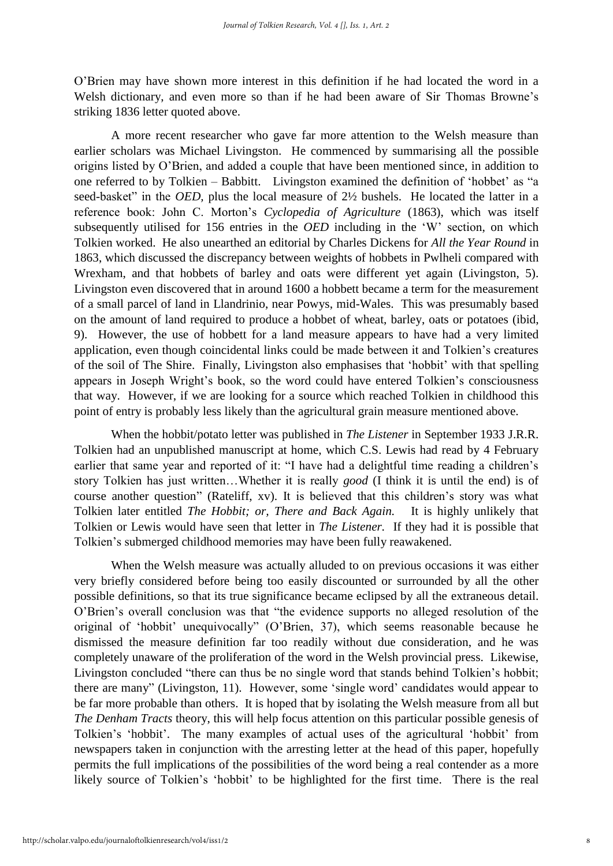O'Brien may have shown more interest in this definition if he had located the word in a Welsh dictionary, and even more so than if he had been aware of Sir Thomas Browne's striking 1836 letter quoted above.

A more recent researcher who gave far more attention to the Welsh measure than earlier scholars was Michael Livingston. He commenced by summarising all the possible origins listed by O'Brien, and added a couple that have been mentioned since, in addition to one referred to by Tolkien – Babbitt. Livingston examined the definition of 'hobbet' as "a seed-basket" in the *OED*, plus the local measure of  $2\frac{1}{2}$  bushels. He located the latter in a reference book: John C. Morton's *Cyclopedia of Agriculture* (1863), which was itself subsequently utilised for 156 entries in the *OED* including in the 'W' section, on which Tolkien worked. He also unearthed an editorial by Charles Dickens for *All the Year Round* in 1863, which discussed the discrepancy between weights of hobbets in Pwlheli compared with Wrexham, and that hobbets of barley and oats were different yet again (Livingston, 5). Livingston even discovered that in around 1600 a hobbett became a term for the measurement of a small parcel of land in Llandrinio, near Powys, mid-Wales. This was presumably based on the amount of land required to produce a hobbet of wheat, barley, oats or potatoes (ibid, 9). However, the use of hobbett for a land measure appears to have had a very limited application, even though coincidental links could be made between it and Tolkien's creatures of the soil of The Shire. Finally, Livingston also emphasises that 'hobbit' with that spelling appears in Joseph Wright's book, so the word could have entered Tolkien's consciousness that way. However, if we are looking for a source which reached Tolkien in childhood this point of entry is probably less likely than the agricultural grain measure mentioned above.

When the hobbit/potato letter was published in *The Listener* in September 1933 J.R.R. Tolkien had an unpublished manuscript at home, which C.S. Lewis had read by 4 February earlier that same year and reported of it: "I have had a delightful time reading a children's story Tolkien has just written…Whether it is really *good* (I think it is until the end) is of course another question" (Rateliff, xv). It is believed that this children's story was what Tolkien later entitled *The Hobbit; or, There and Back Again.* It is highly unlikely that Tolkien or Lewis would have seen that letter in *The Listener.* If they had it is possible that Tolkien's submerged childhood memories may have been fully reawakened.

When the Welsh measure was actually alluded to on previous occasions it was either very briefly considered before being too easily discounted or surrounded by all the other possible definitions, so that its true significance became eclipsed by all the extraneous detail. O'Brien's overall conclusion was that "the evidence supports no alleged resolution of the original of 'hobbit' unequivocally" (O'Brien, 37), which seems reasonable because he dismissed the measure definition far too readily without due consideration, and he was completely unaware of the proliferation of the word in the Welsh provincial press. Likewise, Livingston concluded "there can thus be no single word that stands behind Tolkien's hobbit; there are many" (Livingston, 11). However, some 'single word' candidates would appear to be far more probable than others. It is hoped that by isolating the Welsh measure from all but *The Denham Tracts* theory, this will help focus attention on this particular possible genesis of Tolkien's 'hobbit'. The many examples of actual uses of the agricultural 'hobbit' from newspapers taken in conjunction with the arresting letter at the head of this paper, hopefully permits the full implications of the possibilities of the word being a real contender as a more likely source of Tolkien's 'hobbit' to be highlighted for the first time. There is the real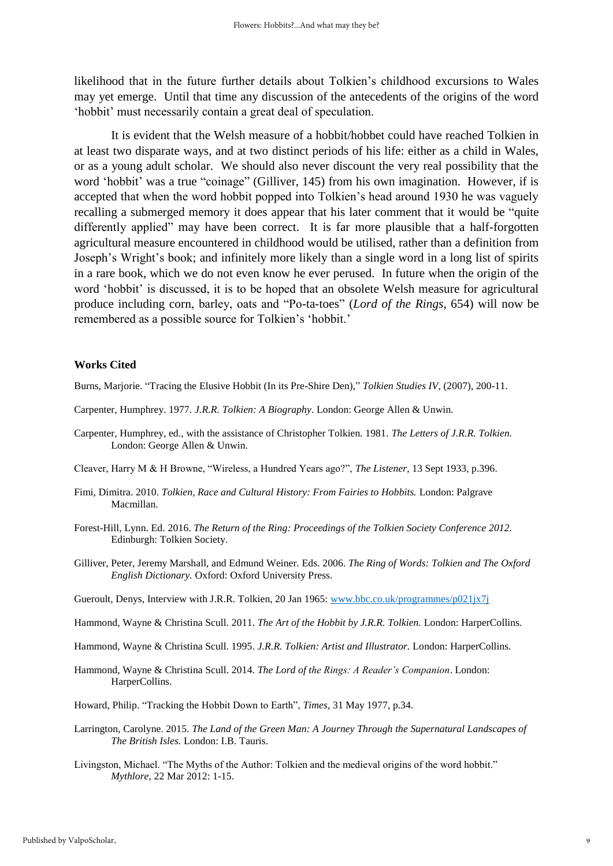likelihood that in the future further details about Tolkien's childhood excursions to Wales may yet emerge. Until that time any discussion of the antecedents of the origins of the word 'hobbit' must necessarily contain a great deal of speculation.

It is evident that the Welsh measure of a hobbit/hobbet could have reached Tolkien in at least two disparate ways, and at two distinct periods of his life: either as a child in Wales, or as a young adult scholar. We should also never discount the very real possibility that the word 'hobbit' was a true "coinage" (Gilliver, 145) from his own imagination. However, if is accepted that when the word hobbit popped into Tolkien's head around 1930 he was vaguely recalling a submerged memory it does appear that his later comment that it would be "quite differently applied" may have been correct. It is far more plausible that a half-forgotten agricultural measure encountered in childhood would be utilised, rather than a definition from Joseph's Wright's book; and infinitely more likely than a single word in a long list of spirits in a rare book, which we do not even know he ever perused. In future when the origin of the word 'hobbit' is discussed, it is to be hoped that an obsolete Welsh measure for agricultural produce including corn, barley, oats and "Po-ta-toes" (*Lord of the Rings*, 654) will now be remembered as a possible source for Tolkien's 'hobbit.'

### **Works Cited**

Burns, Marjorie. "Tracing the Elusive Hobbit (In its Pre-Shire Den)," *Tolkien Studies IV*, (2007), 200-11.

- Carpenter, Humphrey. 1977. *J.R.R. Tolkien: A Biography*. London: George Allen & Unwin.
- Carpenter, Humphrey, ed., with the assistance of Christopher Tolkien. 1981. *The Letters of J.R.R. Tolkien.*  London: George Allen & Unwin.
- Cleaver, Harry M & H Browne, "Wireless, a Hundred Years ago?", *The Listener*, 13 Sept 1933, p.396.
- Fimi, Dimitra. 2010. *Tolkien, Race and Cultural History: From Fairies to Hobbits.* London: Palgrave Macmillan.
- Forest-Hill, Lynn. Ed. 2016. *The Return of the Ring: Proceedings of the Tolkien Society Conference 2012.*  Edinburgh: Tolkien Society.
- Gilliver, Peter, Jeremy Marshall, and Edmund Weiner. Eds. 2006. *The Ring of Words: Tolkien and The Oxford English Dictionary.* Oxford: Oxford University Press.
- Gueroult, Denys, Interview with J.R.R. Tolkien, 20 Jan 1965: [www.bbc.co.uk/programmes/p021jx7j](http://www.bbc.co.uk/programmes/p021jx7j)
- Hammond, Wayne & Christina Scull. 2011. *The Art of the Hobbit by J.R.R. Tolkien.* London: HarperCollins.
- Hammond, Wayne & Christina Scull. 1995. *J.R.R. Tolkien: Artist and Illustrator.* London: HarperCollins.
- Hammond, Wayne & Christina Scull. 2014. *The Lord of the Rings: A Reader's Companion*. London: HarperCollins.

Howard, Philip. "Tracking the Hobbit Down to Earth", *Times,* 31 May 1977, p.34.

- Larrington, Carolyne. 2015. *The Land of the Green Man: A Journey Through the Supernatural Landscapes of The British Isles.* London: I.B. Tauris.
- Livingston, Michael. "The Myths of the Author: Tolkien and the medieval origins of the word hobbit." *Mythlore,* 22 Mar 2012: 1-15.